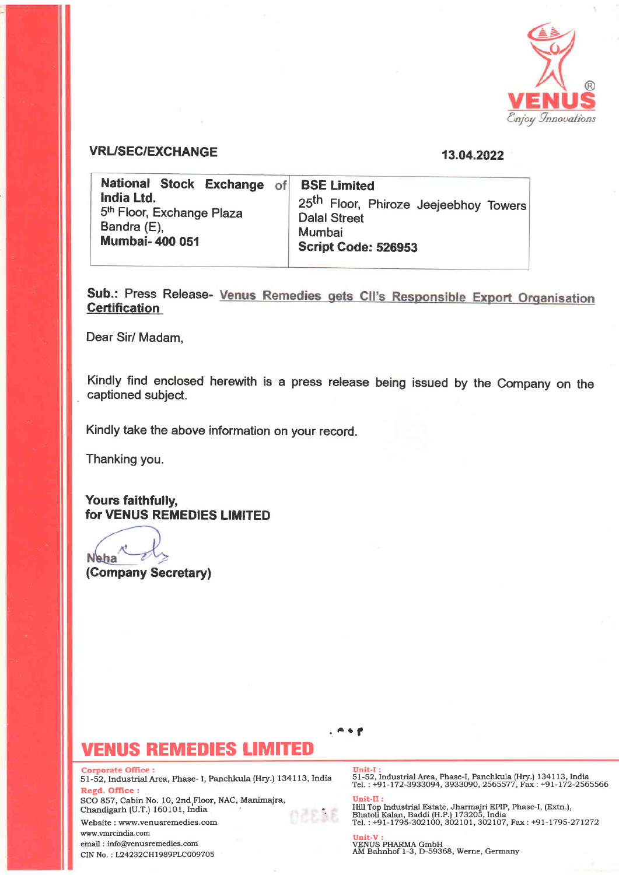

### VRL/SEC/EXCHANGE 13.04.2022

National Stock Exchange of India Ltd. 5<sup>th</sup> Floor, Exchange Plaza Bandra (E), Mumbai- 400 051 BSE Limited 25<sup>th</sup> Floor, Phiroze Jeejeebhoy Towers Dalal Street Mumbai Script Gode: 526953

Sub.: Press Release- Venus Remedies gets CII's Responsible Export Organisation **Certification** 

Dear Sir/ Madam,

Kindly find enclosed herewith is a press release being issued by the Company on the captioned subject.

Kindly take the above information on your record.

Thanking you.

Yours faithfully, for VENUS REMEDIES LIMITED

**N**eha

(Company Secretary)

## JS REMEDIES LIMITED

**Corporate Office:** 

51-52, Industrial Area, Phase- I, Paachkula (Hry.) 134113, India Regd, Office:

SCO 857, Cabin No. 10, 2nd,Floor, NAC, Manirnajra, Chaadigarh (U.T.) 16O101, India

Website : www.venusremedies.com www.rrmrcindia.com email : info@venusremedies.com

CIN No. ; L24232CH|989PLCOO97O5

 $. \bullet \bullet$ 

51-52, Industrial Area, Phase-I, Panchkula (Hry.) 134113, India Tel. : +91-172-3933094. 3933O9O. 2565577 . Fax i +9I-172-2565566

Unit-II : Hill Top Industrial Estate, Jharmajri EPIP, Phase-I, (Extn.),<br>Bhatoli Kalan, Baddi (H.P.) 173205, India<br>Tel. : +91-1795-302100, 302101, 302107, Fax : +91-1795-271272

**Unit-V :**<br>VENUS PHARMA GmbH<br>AM Bahnhof 1-3, D-59368, Werne, Germany